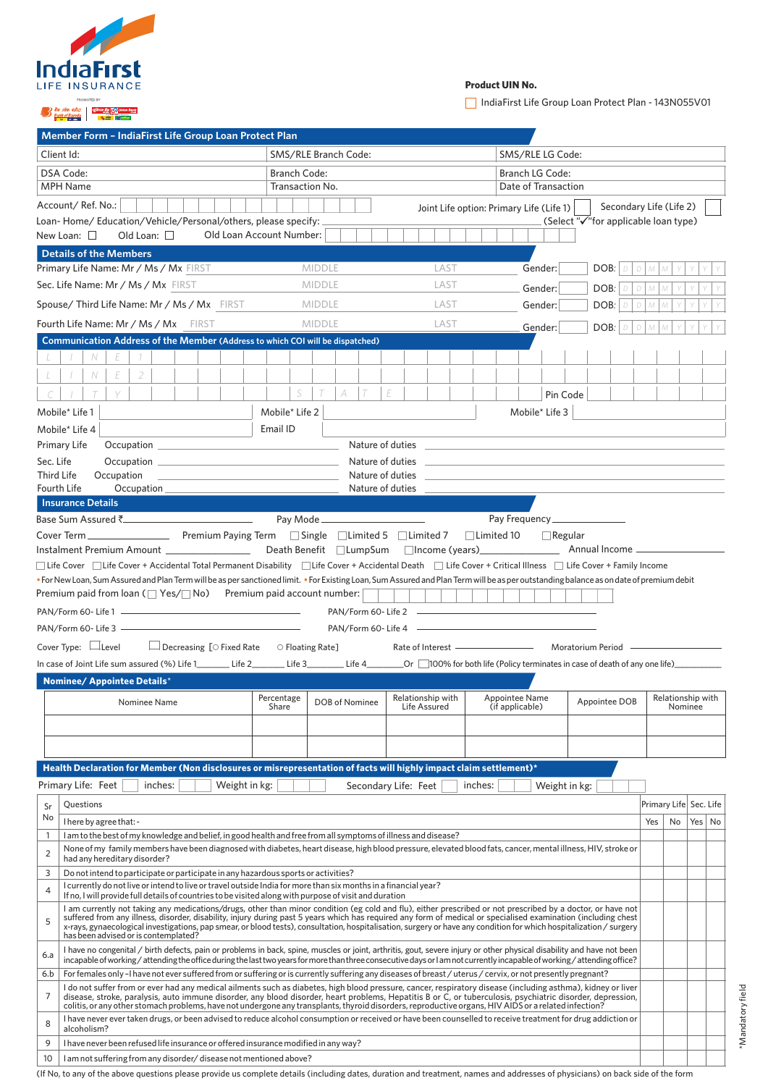| <b>IndiaFirst</b><br>LIFE INSURANCE |
|-------------------------------------|
|                                     |

# **Product UIN No.**

IndiaFirst Life Group Loan Protect Plan - 143N055V01

\*Mandatory field

\*Mandatory field

# an as a shine as a shine as a shine as a shine as a shine as a shine as a shine and a shine a shine and a shine of the same of the same of the same of the same of the same of the same of the same of the same of the same of

| Member Form - IndiaFirst Life Group Loan Protect Plan                                                                                                                                                                                                                                                                                                                                                                                                                                                                                                                                                                                                                                                                                                                                                                                                                                                                                                                                                                                                                                                                |                                                                                                                                                                                                                                                                                                                                                 |                                       |                                          |                                      |                              |    |          |  |
|----------------------------------------------------------------------------------------------------------------------------------------------------------------------------------------------------------------------------------------------------------------------------------------------------------------------------------------------------------------------------------------------------------------------------------------------------------------------------------------------------------------------------------------------------------------------------------------------------------------------------------------------------------------------------------------------------------------------------------------------------------------------------------------------------------------------------------------------------------------------------------------------------------------------------------------------------------------------------------------------------------------------------------------------------------------------------------------------------------------------|-------------------------------------------------------------------------------------------------------------------------------------------------------------------------------------------------------------------------------------------------------------------------------------------------------------------------------------------------|---------------------------------------|------------------------------------------|--------------------------------------|------------------------------|----|----------|--|
| Client Id:                                                                                                                                                                                                                                                                                                                                                                                                                                                                                                                                                                                                                                                                                                                                                                                                                                                                                                                                                                                                                                                                                                           | SMS/RLE Branch Code:                                                                                                                                                                                                                                                                                                                            |                                       | SMS/RLE LG Code:                         |                                      |                              |    |          |  |
| DSA Code:<br><b>MPH Name</b>                                                                                                                                                                                                                                                                                                                                                                                                                                                                                                                                                                                                                                                                                                                                                                                                                                                                                                                                                                                                                                                                                         | <b>Branch Code:</b><br>Transaction No.                                                                                                                                                                                                                                                                                                          |                                       | Branch LG Code:<br>Date of Transaction   |                                      |                              |    |          |  |
| Account/Ref. No.:                                                                                                                                                                                                                                                                                                                                                                                                                                                                                                                                                                                                                                                                                                                                                                                                                                                                                                                                                                                                                                                                                                    |                                                                                                                                                                                                                                                                                                                                                 |                                       | Joint Life option: Primary Life (Life 1) | Secondary Life (Life 2)              |                              |    |          |  |
| Loan-Home/Education/Vehicle/Personal/others, please specify:                                                                                                                                                                                                                                                                                                                                                                                                                                                                                                                                                                                                                                                                                                                                                                                                                                                                                                                                                                                                                                                         |                                                                                                                                                                                                                                                                                                                                                 |                                       |                                          | (Select "√"for applicable loan type) |                              |    |          |  |
| New Loan: $\square$<br>Old Loan: $\square$                                                                                                                                                                                                                                                                                                                                                                                                                                                                                                                                                                                                                                                                                                                                                                                                                                                                                                                                                                                                                                                                           | Old Loan Account Number:                                                                                                                                                                                                                                                                                                                        |                                       |                                          |                                      |                              |    |          |  |
| <b>Details of the Members</b><br>Primary Life Name: Mr / Ms / Mx FIRST                                                                                                                                                                                                                                                                                                                                                                                                                                                                                                                                                                                                                                                                                                                                                                                                                                                                                                                                                                                                                                               | <b>MIDDLE</b>                                                                                                                                                                                                                                                                                                                                   | LAST                                  | Gender:                                  | DOB:<br>D                            | M                            |    |          |  |
| Sec. Life Name: Mr / Ms / Mx FIRST                                                                                                                                                                                                                                                                                                                                                                                                                                                                                                                                                                                                                                                                                                                                                                                                                                                                                                                                                                                                                                                                                   | <b>MIDDLE</b>                                                                                                                                                                                                                                                                                                                                   | LAST                                  |                                          |                                      |                              |    |          |  |
|                                                                                                                                                                                                                                                                                                                                                                                                                                                                                                                                                                                                                                                                                                                                                                                                                                                                                                                                                                                                                                                                                                                      |                                                                                                                                                                                                                                                                                                                                                 |                                       | Gender:                                  | DOB:                                 |                              |    |          |  |
| Spouse/Third Life Name: Mr / Ms / Mx FIRST                                                                                                                                                                                                                                                                                                                                                                                                                                                                                                                                                                                                                                                                                                                                                                                                                                                                                                                                                                                                                                                                           | <b>MIDDLE</b>                                                                                                                                                                                                                                                                                                                                   | LAST                                  | Gender:                                  | DOB:                                 |                              |    |          |  |
| <b>Fourth Life Name: Mr / Ms / Mx</b> FIRST                                                                                                                                                                                                                                                                                                                                                                                                                                                                                                                                                                                                                                                                                                                                                                                                                                                                                                                                                                                                                                                                          | <b>MIDDLE</b>                                                                                                                                                                                                                                                                                                                                   | LAST                                  | Gender:                                  | DOB:                                 |                              |    |          |  |
| Communication Address of the Member (Address to which COI will be dispatched)<br>N<br>E<br>E<br>2<br>N<br>S<br>Pin Code<br>Mobile* Life 2<br>Mobile* Life 3<br>Mobile* Life 1<br>Email ID<br>Mobile* Life 4<br>Nature of duties ___<br><b>Primary Life</b><br>Sec. Life<br>Nature of duties<br>the control of the control of the control of the control of the control of the control of<br><b>Third Life</b><br>Occupation<br>Nature of duties _<br><b>Fourth Life</b><br>Nature of duties<br>$Occupation$ $\_\$<br><b>Insurance Details</b><br>Base Sum Assured ₹<br>Pay Mode<br>$\Box$ Regular<br>Instalment Premium Amount<br>□ Life Cover □ Life Cover + Accidental Total Permanent Disability □ Life Cover + Accidental Death □ Life Cover + Critical Illness □ Life Cover + Family Income<br>• For New Loan, Sum Assured and Plan Term will be as per sanctioned limit. • For Existing Loan, Sum Assured and Plan Term will be as per outstanding balance as on date of premium debit<br>Premium paid from loan $(\Box Yes/\Box No)$ Premium paid account number:<br>PAN/Form 60-Life 1<br>PAN/Form 60-Life 2 |                                                                                                                                                                                                                                                                                                                                                 |                                       |                                          |                                      |                              |    |          |  |
| $\Box$ Decreasing [ $\circ$ Fixed Rate $\circ$ Floating Rate]<br>Cover Type: $\Box$ Level                                                                                                                                                                                                                                                                                                                                                                                                                                                                                                                                                                                                                                                                                                                                                                                                                                                                                                                                                                                                                            |                                                                                                                                                                                                                                                                                                                                                 | Rate of Interest ———————————————————— |                                          | Moratorium Period                    |                              |    |          |  |
| In case of Joint Life sum assured (%) Life 1_______ Life 2________ Life 3_________ Life 4_______Or □100% for both life (Policy terminates in case of death of any one life)_____________                                                                                                                                                                                                                                                                                                                                                                                                                                                                                                                                                                                                                                                                                                                                                                                                                                                                                                                             |                                                                                                                                                                                                                                                                                                                                                 |                                       |                                          |                                      |                              |    |          |  |
| <b>Nominee/ Appointee Details*</b>                                                                                                                                                                                                                                                                                                                                                                                                                                                                                                                                                                                                                                                                                                                                                                                                                                                                                                                                                                                                                                                                                   |                                                                                                                                                                                                                                                                                                                                                 |                                       |                                          |                                      |                              |    |          |  |
| Nominee Name                                                                                                                                                                                                                                                                                                                                                                                                                                                                                                                                                                                                                                                                                                                                                                                                                                                                                                                                                                                                                                                                                                         | Percentage<br>DOB of Nominee<br>Share                                                                                                                                                                                                                                                                                                           | Relationship with<br>Life Assured     | Appointee Name<br>(if applicable)        | Appointee DOB                        | Relationship with<br>Nominee |    |          |  |
|                                                                                                                                                                                                                                                                                                                                                                                                                                                                                                                                                                                                                                                                                                                                                                                                                                                                                                                                                                                                                                                                                                                      |                                                                                                                                                                                                                                                                                                                                                 |                                       |                                          |                                      |                              |    |          |  |
|                                                                                                                                                                                                                                                                                                                                                                                                                                                                                                                                                                                                                                                                                                                                                                                                                                                                                                                                                                                                                                                                                                                      |                                                                                                                                                                                                                                                                                                                                                 |                                       |                                          |                                      |                              |    |          |  |
|                                                                                                                                                                                                                                                                                                                                                                                                                                                                                                                                                                                                                                                                                                                                                                                                                                                                                                                                                                                                                                                                                                                      |                                                                                                                                                                                                                                                                                                                                                 |                                       |                                          |                                      |                              |    |          |  |
| Health Declaration for Member (Non disclosures or misrepresentation of facts will highly impact claim settlement)*                                                                                                                                                                                                                                                                                                                                                                                                                                                                                                                                                                                                                                                                                                                                                                                                                                                                                                                                                                                                   |                                                                                                                                                                                                                                                                                                                                                 |                                       |                                          |                                      |                              |    |          |  |
| Primary Life: Feet<br>inches:<br>Weight in kg:                                                                                                                                                                                                                                                                                                                                                                                                                                                                                                                                                                                                                                                                                                                                                                                                                                                                                                                                                                                                                                                                       |                                                                                                                                                                                                                                                                                                                                                 | Secondary Life: Feet<br>inches:       | Weight in kg:                            |                                      |                              |    |          |  |
| Questions<br>Sr                                                                                                                                                                                                                                                                                                                                                                                                                                                                                                                                                                                                                                                                                                                                                                                                                                                                                                                                                                                                                                                                                                      |                                                                                                                                                                                                                                                                                                                                                 |                                       |                                          |                                      | Primary Life Sec. Life       |    |          |  |
| No<br>I here by agree that: -                                                                                                                                                                                                                                                                                                                                                                                                                                                                                                                                                                                                                                                                                                                                                                                                                                                                                                                                                                                                                                                                                        |                                                                                                                                                                                                                                                                                                                                                 |                                       |                                          |                                      | Yes                          | No | Yes   No |  |
| I am to the best of my knowledge and belief, in good health and free from all symptoms of illness and disease?<br>$\mathbf{1}$<br>None of my family members have been diagnosed with diabetes, heart disease, high blood pressure, elevated blood fats, cancer, mental illness, HIV, stroke or<br>2<br>had any hereditary disorder?                                                                                                                                                                                                                                                                                                                                                                                                                                                                                                                                                                                                                                                                                                                                                                                  |                                                                                                                                                                                                                                                                                                                                                 |                                       |                                          |                                      |                              |    |          |  |
| 3<br>Do not intend to participate or participate in any hazardous sports or activities?                                                                                                                                                                                                                                                                                                                                                                                                                                                                                                                                                                                                                                                                                                                                                                                                                                                                                                                                                                                                                              |                                                                                                                                                                                                                                                                                                                                                 |                                       |                                          |                                      |                              |    |          |  |
| $\overline{4}$                                                                                                                                                                                                                                                                                                                                                                                                                                                                                                                                                                                                                                                                                                                                                                                                                                                                                                                                                                                                                                                                                                       | I currently do not live or intend to live or travel outside India for more than six months in a financial year?<br>If no, I will provide full details of countries to be visited along with purpose of visit and duration                                                                                                                       |                                       |                                          |                                      |                              |    |          |  |
| I am currently not taking any medications/drugs, other than minor condition (eg cold and flu), either prescribed or not prescribed by a doctor, or have not<br>suffered from any illness, disorder, disability, injury during past 5 years which has required any form of medical or specialised examination (including chest<br>5<br>x-rays, gynaecological investigations, pap smear, or blood tests), consultation, hospitalisation, surgery or have any condition for which hospitalization/surgery<br>has been advised or is contemplated?                                                                                                                                                                                                                                                                                                                                                                                                                                                                                                                                                                      |                                                                                                                                                                                                                                                                                                                                                 |                                       |                                          |                                      |                              |    |          |  |
| 6.a                                                                                                                                                                                                                                                                                                                                                                                                                                                                                                                                                                                                                                                                                                                                                                                                                                                                                                                                                                                                                                                                                                                  | I have no congenital / birth defects, pain or problems in back, spine, muscles or joint, arthritis, gout, severe injury or other physical disability and have not been<br>incapable of working/attending the office during the last two years for more than three consecutive days or I am not currently incapable of working/attending office? |                                       |                                          |                                      |                              |    |          |  |
| For females only-lhave not ever suffered from or suffering or is currently suffering any diseases of breast / uterus / cervix, or not presently pregnant?<br>6.b                                                                                                                                                                                                                                                                                                                                                                                                                                                                                                                                                                                                                                                                                                                                                                                                                                                                                                                                                     |                                                                                                                                                                                                                                                                                                                                                 |                                       |                                          |                                      |                              |    |          |  |
| I do not suffer from or ever had any medical ailments such as diabetes, high blood pressure, cancer, respiratory disease (including asthma), kidney or liver<br>7<br>disease, stroke, paralysis, auto immune disorder, any blood disorder, heart problems, Hepatitis B or C, or tuberculosis, psychiatric disorder, depression,<br>colitis, or any other stomach problems, have not undergone any transplants, thyroid disorders, reproductive organs, HIV AIDS or a related infection?                                                                                                                                                                                                                                                                                                                                                                                                                                                                                                                                                                                                                              |                                                                                                                                                                                                                                                                                                                                                 |                                       |                                          |                                      |                              |    |          |  |
| I have never ever taken drugs, or been advised to reduce alcohol consumption or received or have been counselled to receive treatment for drug addiction or<br>8<br>alcoholism?                                                                                                                                                                                                                                                                                                                                                                                                                                                                                                                                                                                                                                                                                                                                                                                                                                                                                                                                      |                                                                                                                                                                                                                                                                                                                                                 |                                       |                                          |                                      |                              |    |          |  |
| 9<br>I have never been refused life insurance or offered insurance modified in any way?                                                                                                                                                                                                                                                                                                                                                                                                                                                                                                                                                                                                                                                                                                                                                                                                                                                                                                                                                                                                                              |                                                                                                                                                                                                                                                                                                                                                 |                                       |                                          |                                      |                              |    |          |  |
| 10<br>I am not suffering from any disorder/disease not mentioned above?                                                                                                                                                                                                                                                                                                                                                                                                                                                                                                                                                                                                                                                                                                                                                                                                                                                                                                                                                                                                                                              |                                                                                                                                                                                                                                                                                                                                                 |                                       |                                          |                                      |                              |    |          |  |
| (If No, to any of the above questions please provide us complete details (including dates, duration and treatment, names and addresses of physicians) on back side of the form                                                                                                                                                                                                                                                                                                                                                                                                                                                                                                                                                                                                                                                                                                                                                                                                                                                                                                                                       |                                                                                                                                                                                                                                                                                                                                                 |                                       |                                          |                                      |                              |    |          |  |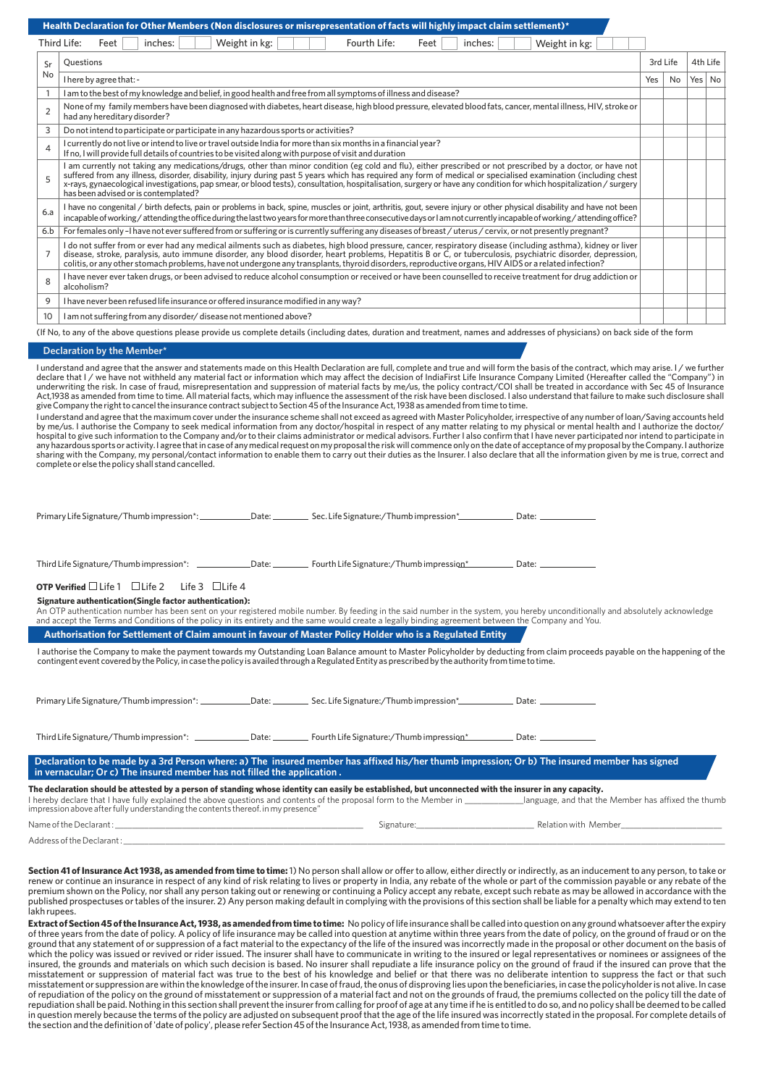**Health Declaration for Other Members (Non disclosures or misrepresentation of facts will highly impact claim settlement)\***

|    | Third Life:<br>Feet<br>Weight in kg:<br>inches: | Feet<br>Fourth Life: | inches: | Weight in kg: |                    |                |                    |    |
|----|-------------------------------------------------|----------------------|---------|---------------|--------------------|----------------|--------------------|----|
| 5r | stions                                          |                      |         |               | 3rd Life           |                | 4th Life           |    |
| No | I hove hunoveon that                            |                      |         |               | $V_{\alpha\alpha}$ | N <sub>1</sub> | $V_{\alpha\alpha}$ | NL |

| No             | I here by agree that: -                                                                                                                                                                                                                                                                                                                                                                                                                                                                                                                      | Yes | No | Yes   No |  |
|----------------|----------------------------------------------------------------------------------------------------------------------------------------------------------------------------------------------------------------------------------------------------------------------------------------------------------------------------------------------------------------------------------------------------------------------------------------------------------------------------------------------------------------------------------------------|-----|----|----------|--|
|                | I am to the best of my knowledge and belief, in good health and free from all symptoms of illness and disease?                                                                                                                                                                                                                                                                                                                                                                                                                               |     |    |          |  |
| $\mathcal{P}$  | None of my family members have been diagnosed with diabetes, heart disease, high blood pressure, elevated blood fats, cancer, mental illness, HIV, stroke or<br>had any hereditary disorder?                                                                                                                                                                                                                                                                                                                                                 |     |    |          |  |
| 3              | Do not intend to participate or participate in any hazardous sports or activities?                                                                                                                                                                                                                                                                                                                                                                                                                                                           |     |    |          |  |
| $\overline{4}$ | I currently do not live or intend to live or travel outside India for more than six months in a financial year?<br>If no, I will provide full details of countries to be visited along with purpose of visit and duration                                                                                                                                                                                                                                                                                                                    |     |    |          |  |
|                | I am currently not taking any medications/drugs, other than minor condition (eg cold and flu), either prescribed or not prescribed by a doctor, or have not<br>suffered from any illness, disorder, disability, injury during past 5 years which has required any form of medical or specialised examination (including chest<br>x-rays, gynaecological investigations, pap smear, or blood tests), consultation, hospitalisation, surgery or have any condition for which hospitalization / surgery<br>has been advised or is contemplated? |     |    |          |  |
| 6.a            | I have no congenital / birth defects, pain or problems in back, spine, muscles or joint, arthritis, gout, severe injury or other physical disability and have not been<br>incapable of working/attending the office during the last two years for more than three consecutive days or I am not currently incapable of working/attending office?                                                                                                                                                                                              |     |    |          |  |
| 6.b            | For females only-I have not ever suffered from or suffering or is currently suffering any diseases of breast / uterus/cervix, or not presently pregnant?                                                                                                                                                                                                                                                                                                                                                                                     |     |    |          |  |
|                | I do not suffer from or ever had any medical ailments such as diabetes, high blood pressure, cancer, respiratory disease (including asthma), kidney or liver<br>disease, stroke, paralysis, auto immune disorder, any blood disorder, heart problems, Hepatitis B or C, or tuberculosis, psychiatric disorder, depression,<br>colitis, or any other stomach problems, have not undergone any transplants, thyroid disorders, reproductive organs, HIV AIDS or a related infection?                                                           |     |    |          |  |
| $\mathsf{R}$   | I have never ever taken drugs, or been advised to reduce alcohol consumption or received or have been counselled to receive treatment for drug addiction or<br>alcoholism?                                                                                                                                                                                                                                                                                                                                                                   |     |    |          |  |
| 9              | I have never been refused life insurance or offered insurance modified in any way?                                                                                                                                                                                                                                                                                                                                                                                                                                                           |     |    |          |  |
| 10             | I am not suffering from any disorder/disease not mentioned above?                                                                                                                                                                                                                                                                                                                                                                                                                                                                            |     |    |          |  |

(If No, to any of the above questions please provide us complete details (including dates, duration and treatment, names and addresses of physicians) on back side of the form

#### **Declaration by the Member\***

I understand and agree that the answer and statements made on this Health Declaration are full, complete and true and will form the basis of the contract, which may arise. I / we further<br>declare that I / we have not withhe underwriting the risk. In case of fraud, misrepresentation and suppression of material facts by me/us, the policy contract/COI shall be treated in accordance with Sec 45 of Insurance Act,1938 as amended from time to time. All material facts, which may influence the assessment of the risk have been disclosed. I also understand that failure to make such disclosure shall<br>give Company the right to cancel t

I understand and agree that the maximum cover under the insurance scheme shall not exceed as agreed with Master Policyholder, irrespective of any number of loan/Saving accounts held by me/us. I authorise the Company to seek medical information from any doctor/hospital in respect of any matter relating to my physical or mental health and I authorize the doctor/<br>hospital to give such information to the sharing with the Company, my personal/contact information to enable them to carry out their duties as the Insurer. I also declare that all the information given by me is true, correct and<br>complete or else the policy shall

| <b>OTP Verified</b> $\Box$ Life 1 $\Box$ Life 2 Life 3 $\Box$ Life 4                                                                                                                                                                       |  |                                                                                                                                                                                 |
|--------------------------------------------------------------------------------------------------------------------------------------------------------------------------------------------------------------------------------------------|--|---------------------------------------------------------------------------------------------------------------------------------------------------------------------------------|
| Signature authentication (Single factor authentication):<br>and accept the Terms and Conditions of the policy in its entirety and the same would create a legally binding agreement between the Company and You.                           |  | An OTP authentication number has been sent on your registered mobile number. By feeding in the said number in the system, you hereby unconditionally and absolutely acknowledge |
| Authorisation for Settlement of Claim amount in favour of Master Policy Holder who is a Regulated Entity                                                                                                                                   |  |                                                                                                                                                                                 |
| contingent event covered by the Policy, in case the policy is availed through a Regulated Entity as prescribed by the authority from time to time.                                                                                         |  | I authorise the Company to make the payment towards my Outstanding Loan Balance amount to Master Policyholder by deducting from claim proceeds payable on the happening of the  |
|                                                                                                                                                                                                                                            |  |                                                                                                                                                                                 |
| Third Life Signature/Thumb impression*: 2014 Date: Charles Fourth Life Signature:/Thumb impression* Date:                                                                                                                                  |  |                                                                                                                                                                                 |
| Declaration to be made by a 3rd Person where: a) The insured member has affixed his/her thumb impression; Or b) The insured member has signed<br>in vernacular; Or c) The insured member has not filled the application.                   |  |                                                                                                                                                                                 |
| The declaration should be attested by a person of standing whose identity can easily be established, but unconnected with the insurer in any capacity.<br>impression above after fully understanding the contents thereof, in my presence" |  | I hereby declare that I have fully explained the above questions and contents of the proposal form to the Member in Janguage, and that the Member has affixed the thumb         |
|                                                                                                                                                                                                                                            |  |                                                                                                                                                                                 |

Address of the Declarant :

**Section 41 of Insurance Act 1938, as amended from time to time:** 1) No person shall allow or offer to allow, either directly or indirectly, as an inducement to any person, to take or<br>renew or continue an insurance in resp premium shown on the Policy, nor shall any person taking out or renewing or continuing a Policy accept any rebate, except such rebate as may be allowed in accordance with the published prospectuses or tables of the insurer. 2) Any person making default in complying with the provisions of this section shall be liable for a penalty which may extend to ten lakh rupees.

**Extract of Section 45 of the Insurance Act, 1938, as amended from time to time:** No policy of life insurance shall be called into question on any ground whatsoever after the expiry of three years from the date of policy. A policy of life insurance may be called into question at anytime within three years from the date of policy, on the ground of fraud or on the ground that any statement of or suppression of a fact material to the expectancy of the life of the insured was incorrectly made in the proposal or other document on the basis of which the policy was issued or revived or rider issued. The insurer shall have to communicate in writing to the insured or legal representatives or nominees or assignees of the insured, the grounds and materials on which such decision is based. No insurer shall repudiate a life insurance policy on the ground of fraud if the insured can prove that the<br>misstatement or suppression of material fact w misstatement or suppression are within the knowledge of the insurer. In case of fraud, the onus of disproving lies upon the beneficiaries, in case the policyholder is not alive. In case of repudiation of the policy on the ground of misstatement or suppression of a material fact and not on the grounds of fraud, the premiums collected on the policy till the date of repudiation shall be paid. Nothing in this section shall prevent the insurer from calling for proof of age at any time if he is entitled to do so, and no policy shall be deemed to be called in question merely because the terms of the policy are adjusted on subsequent proof that the age of the life insured was incorrectly stated in the proposal. For complete details of the section and the definition of 'date of policy', please refer Section 45 of the Insurance Act, 1938, as amended from time to time.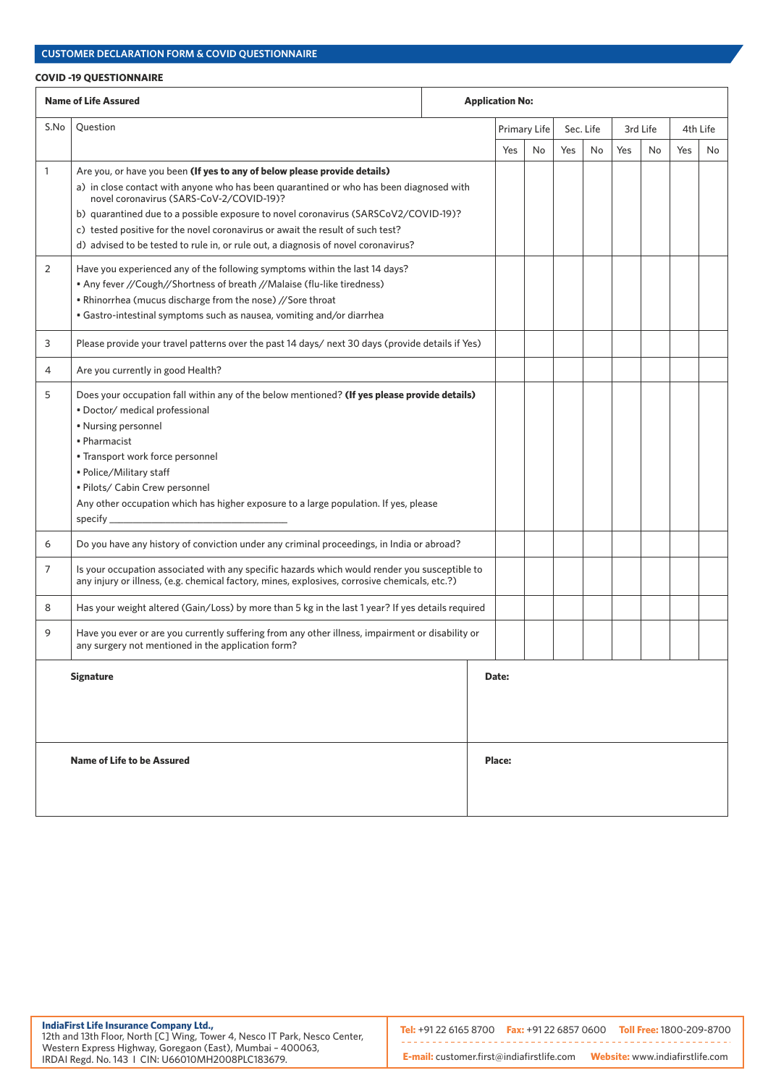### **COVID -19 QUESTIONNAIRE**

| <b>Name of Life Assured</b><br><b>Application No:</b> |                                                                                                                                                                                                                                                                                                                                                                                                                                                                                 |  |        |              |           |     |          |    |     |          |
|-------------------------------------------------------|---------------------------------------------------------------------------------------------------------------------------------------------------------------------------------------------------------------------------------------------------------------------------------------------------------------------------------------------------------------------------------------------------------------------------------------------------------------------------------|--|--------|--------------|-----------|-----|----------|----|-----|----------|
| S.No                                                  | Question                                                                                                                                                                                                                                                                                                                                                                                                                                                                        |  |        | Primary Life | Sec. Life |     | 3rd Life |    |     | 4th Life |
|                                                       |                                                                                                                                                                                                                                                                                                                                                                                                                                                                                 |  | Yes    | No           | Yes       | No. | Yes      | No | Yes | No.      |
| 1                                                     | Are you, or have you been (If yes to any of below please provide details)<br>a) in close contact with anyone who has been quarantined or who has been diagnosed with<br>novel coronavirus (SARS-CoV-2/COVID-19)?<br>b) quarantined due to a possible exposure to novel coronavirus (SARSCoV2/COVID-19)?<br>c) tested positive for the novel coronavirus or await the result of such test?<br>d) advised to be tested to rule in, or rule out, a diagnosis of novel coronavirus? |  |        |              |           |     |          |    |     |          |
| 2                                                     | Have you experienced any of the following symptoms within the last 14 days?<br>. Any fever //Cough//Shortness of breath //Malaise (flu-like tiredness)<br>. Rhinorrhea (mucus discharge from the nose) //Sore throat<br>• Gastro-intestinal symptoms such as nausea, vomiting and/or diarrhea                                                                                                                                                                                   |  |        |              |           |     |          |    |     |          |
| 3                                                     | Please provide your travel patterns over the past 14 days/ next 30 days (provide details if Yes)                                                                                                                                                                                                                                                                                                                                                                                |  |        |              |           |     |          |    |     |          |
| 4                                                     | Are you currently in good Health?                                                                                                                                                                                                                                                                                                                                                                                                                                               |  |        |              |           |     |          |    |     |          |
| 5                                                     | Does your occupation fall within any of the below mentioned? (If yes please provide details)<br>· Doctor/ medical professional<br>• Nursing personnel<br>• Pharmacist<br>• Transport work force personnel<br>• Police/Military staff<br>· Pilots/ Cabin Crew personnel<br>Any other occupation which has higher exposure to a large population. If yes, please                                                                                                                  |  |        |              |           |     |          |    |     |          |
| 6                                                     | Do you have any history of conviction under any criminal proceedings, in India or abroad?                                                                                                                                                                                                                                                                                                                                                                                       |  |        |              |           |     |          |    |     |          |
| 7                                                     | Is your occupation associated with any specific hazards which would render you susceptible to<br>any injury or illness, (e.g. chemical factory, mines, explosives, corrosive chemicals, etc.?)                                                                                                                                                                                                                                                                                  |  |        |              |           |     |          |    |     |          |
| 8                                                     | Has your weight altered (Gain/Loss) by more than 5 kg in the last 1 year? If yes details required                                                                                                                                                                                                                                                                                                                                                                               |  |        |              |           |     |          |    |     |          |
| 9                                                     | Have you ever or are you currently suffering from any other illness, impairment or disability or<br>any surgery not mentioned in the application form?                                                                                                                                                                                                                                                                                                                          |  |        |              |           |     |          |    |     |          |
|                                                       | <b>Signature</b>                                                                                                                                                                                                                                                                                                                                                                                                                                                                |  | Date:  |              |           |     |          |    |     |          |
|                                                       | Name of Life to be Assured                                                                                                                                                                                                                                                                                                                                                                                                                                                      |  | Place: |              |           |     |          |    |     |          |